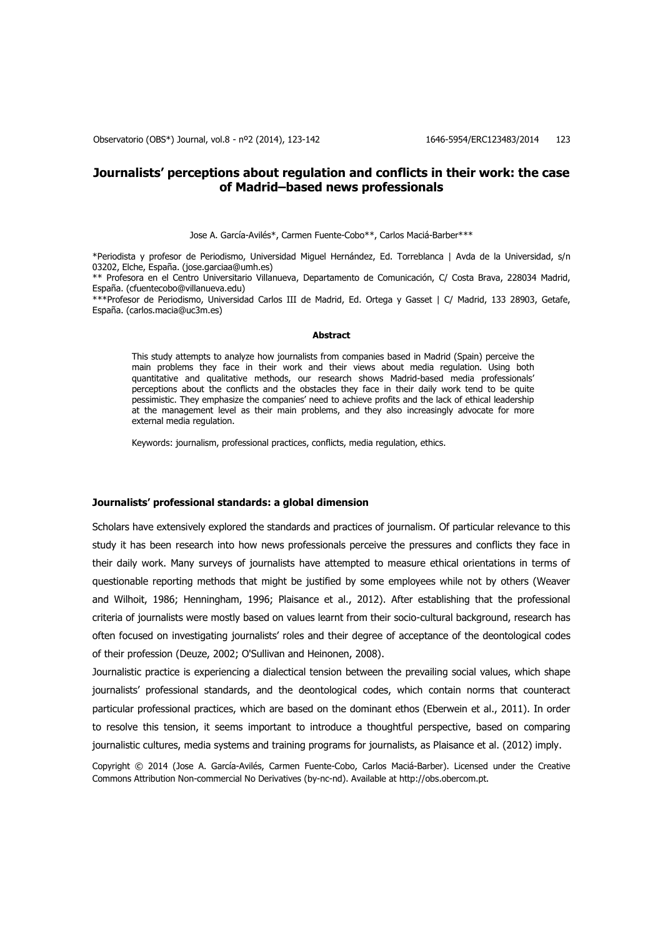# **Journalists' perceptions about regulation and conflicts in their work: the case of Madrid–based news professionals**

Jose A. García-Avilés\*, Carmen Fuente-Cobo\*\*, Carlos Maciá-Barber\*\*\*

\*Periodista y profesor de Periodismo, Universidad Miguel Hernández, Ed. Torreblanca | Avda de la Universidad, s/n 03202, Elche, España. (jose.garciaa@umh.es)

\*\* Profesora en el Centro Universitario Villanueva, Departamento de Comunicación, C/ Costa Brava, 228034 Madrid, España. (cfuentecobo@villanueva.edu)

\*\*\*Profesor de Periodismo, Universidad Carlos III de Madrid, Ed. Ortega y Gasset | C/ Madrid, 133 28903, Getafe, España. (carlos.macia@uc3m.es)

#### **Abstract**

This study attempts to analyze how journalists from companies based in Madrid (Spain) perceive the main problems they face in their work and their views about media regulation. Using both quantitative and qualitative methods, our research shows Madrid-based media professionals' perceptions about the conflicts and the obstacles they face in their daily work tend to be quite pessimistic. They emphasize the companies' need to achieve profits and the lack of ethical leadership at the management level as their main problems, and they also increasingly advocate for more external media regulation.

Keywords: journalism, professional practices, conflicts, media regulation, ethics.

#### **Journalists' professional standards: a global dimension**

Scholars have extensively explored the standards and practices of journalism. Of particular relevance to this study it has been research into how news professionals perceive the pressures and conflicts they face in their daily work. Many surveys of journalists have attempted to measure ethical orientations in terms of questionable reporting methods that might be justified by some employees while not by others (Weaver and Wilhoit, 1986; Henningham, 1996; Plaisance et al., 2012). After establishing that the professional criteria of journalists were mostly based on values learnt from their socio-cultural background, research has often focused on investigating journalists' roles and their degree of acceptance of the deontological codes of their profession (Deuze, 2002; O'Sullivan and Heinonen, 2008).

Journalistic practice is experiencing a dialectical tension between the prevailing social values, which shape journalists' professional standards, and the deontological codes, which contain norms that counteract particular professional practices, which are based on the dominant ethos (Eberwein et al., 2011). In order to resolve this tension, it seems important to introduce a thoughtful perspective, based on comparing journalistic cultures, media systems and training programs for journalists, as Plaisance et al. (2012) imply.

Copyright © 2014 (Jose A. García-Avilés, Carmen Fuente-Cobo, Carlos Maciá-Barber). Licensed under the Creative Commons Attribution Non-commercial No Derivatives (by-nc-nd). Available at http://obs.obercom.pt.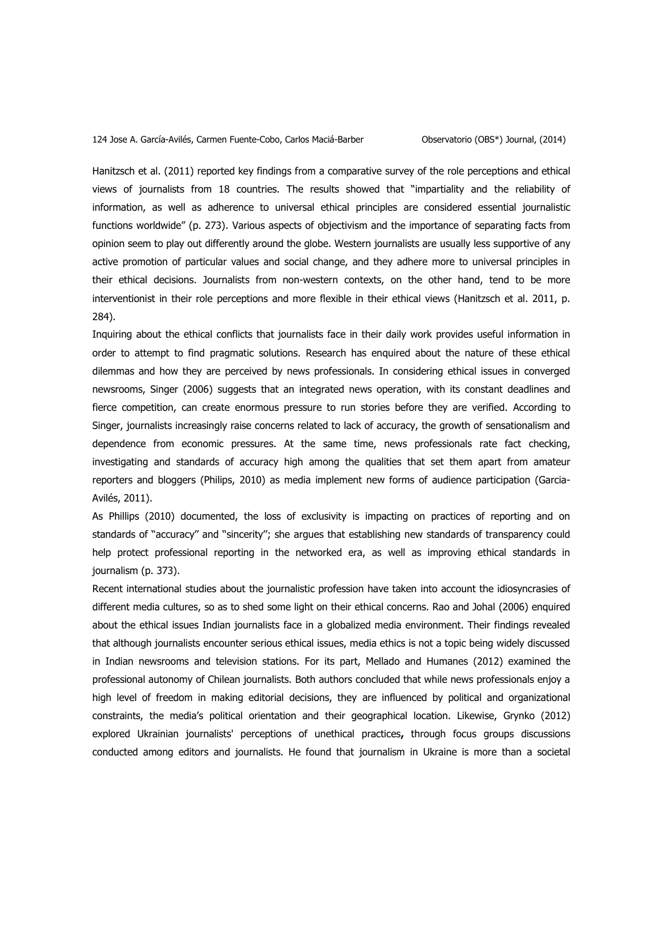Hanitzsch et al. (2011) reported key findings from a comparative survey of the role perceptions and ethical views of journalists from 18 countries. The results showed that "impartiality and the reliability of information, as well as adherence to universal ethical principles are considered essential journalistic functions worldwide" (p. 273). Various aspects of objectivism and the importance of separating facts from opinion seem to play out differently around the globe. Western journalists are usually less supportive of any active promotion of particular values and social change, and they adhere more to universal principles in their ethical decisions. Journalists from non-western contexts, on the other hand, tend to be more interventionist in their role perceptions and more flexible in their ethical views (Hanitzsch et al. 2011, p. 284).

Inquiring about the ethical conflicts that journalists face in their daily work provides useful information in order to attempt to find pragmatic solutions. Research has enquired about the nature of these ethical dilemmas and how they are perceived by news professionals. In considering ethical issues in converged newsrooms, Singer (2006) suggests that an integrated news operation, with its constant deadlines and fierce competition, can create enormous pressure to run stories before they are verified. According to Singer, journalists increasingly raise concerns related to lack of accuracy, the growth of sensationalism and dependence from economic pressures. At the same time, news professionals rate fact checking, investigating and standards of accuracy high among the qualities that set them apart from amateur reporters and bloggers (Philips, 2010) as media implement new forms of audience participation (Garcia-Avilés, 2011).

As Phillips (2010) documented, the loss of exclusivity is impacting on practices of reporting and on standards of ''accuracy'' and ''sincerity''; she argues that establishing new standards of transparency could help protect professional reporting in the networked era, as well as improving ethical standards in journalism (p. 373).

Recent international studies about the journalistic profession have taken into account the idiosyncrasies of different media cultures, so as to shed some light on their ethical concerns. Rao and Johal (2006) enquired about the ethical issues Indian journalists face in a globalized media environment. Their findings revealed that although journalists encounter serious ethical issues, media ethics is not a topic being widely discussed in Indian newsrooms and television stations. For its part, Mellado and Humanes (2012) examined the professional autonomy of Chilean journalists. Both authors concluded that while news professionals enjoy a high level of freedom in making editorial decisions, they are influenced by political and organizational constraints, the media's political orientation and their geographical location. Likewise, Grynko (2012) explored Ukrainian journalists' perceptions of unethical practices**,** through focus groups discussions conducted among editors and journalists. He found that journalism in Ukraine is more than a societal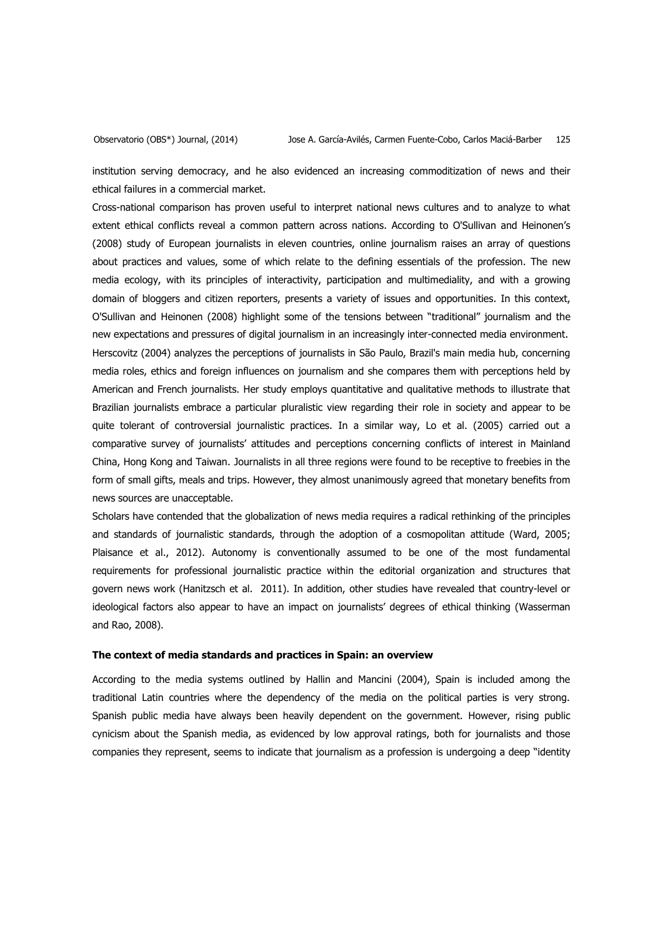institution serving democracy, and he also evidenced an increasing commoditization of news and their ethical failures in a commercial market.

Cross-national comparison has proven useful to interpret national news cultures and to analyze to what extent ethical conflicts reveal a common pattern across nations. According to O'Sullivan and Heinonen's (2008) study of European journalists in eleven countries, online journalism raises an array of questions about practices and values, some of which relate to the defining essentials of the profession. The new media ecology, with its principles of interactivity, participation and multimediality, and with a growing domain of bloggers and citizen reporters, presents a variety of issues and opportunities. In this context, O'Sullivan and Heinonen (2008) highlight some of the tensions between "traditional" journalism and the new expectations and pressures of digital journalism in an increasingly inter-connected media environment. Herscovitz (2004) analyzes the perceptions of journalists in São Paulo, Brazil's main media hub, concerning media roles, ethics and foreign influences on journalism and she compares them with perceptions held by American and French journalists. Her study employs quantitative and qualitative methods to illustrate that Brazilian journalists embrace a particular pluralistic view regarding their role in society and appear to be quite tolerant of controversial journalistic practices. In a similar way, Lo et al. (2005) carried out a comparative survey of journalists' attitudes and perceptions concerning conflicts of interest in Mainland China, Hong Kong and Taiwan. Journalists in all three regions were found to be receptive to freebies in the form of small gifts, meals and trips. However, they almost unanimously agreed that monetary benefits from news sources are unacceptable.

Scholars have contended that the globalization of news media requires a radical rethinking of the principles and standards of journalistic standards, through the adoption of a cosmopolitan attitude (Ward, 2005; Plaisance et al., 2012). Autonomy is conventionally assumed to be one of the most fundamental requirements for professional journalistic practice within the editorial organization and structures that govern news work (Hanitzsch et al. 2011). In addition, other studies have revealed that country-level or ideological factors also appear to have an impact on journalists' degrees of ethical thinking (Wasserman and Rao, 2008).

### **The context of media standards and practices in Spain: an overview**

According to the media systems outlined by Hallin and Mancini (2004), Spain is included among the traditional Latin countries where the dependency of the media on the political parties is very strong. Spanish public media have always been heavily dependent on the government. However, rising public cynicism about the Spanish media, as evidenced by low approval ratings, both for journalists and those companies they represent, seems to indicate that journalism as a profession is undergoing a deep "identity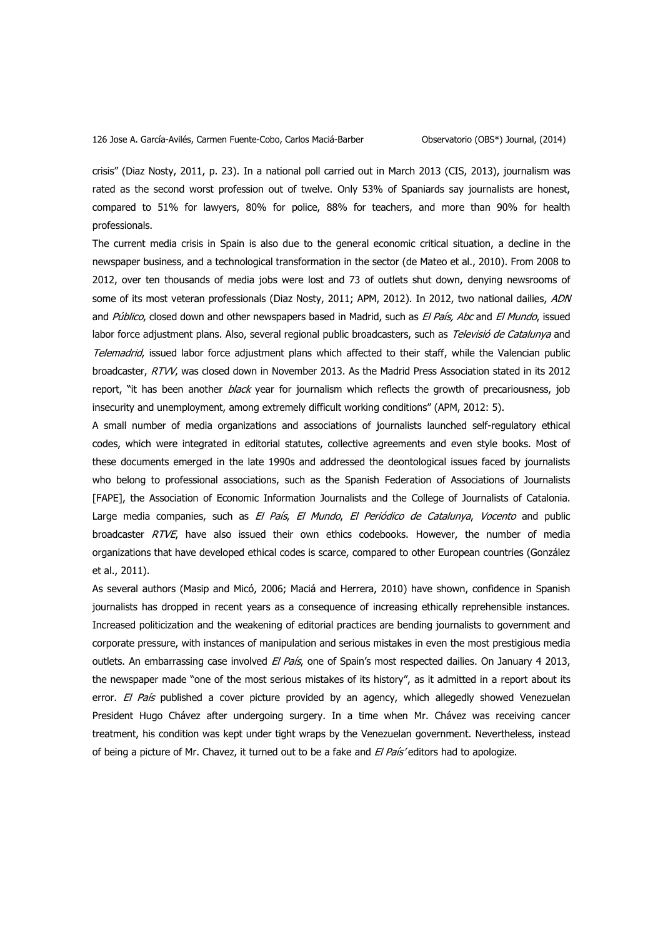crisis" (Diaz Nosty, 2011, p. 23). In a national poll carried out in March 2013 (CIS, 2013), journalism was rated as the second worst profession out of twelve. Only 53% of Spaniards say journalists are honest, compared to 51% for lawyers, 80% for police, 88% for teachers, and more than 90% for health professionals.

The current media crisis in Spain is also due to the general economic critical situation, a decline in the newspaper business, and a technological transformation in the sector (de Mateo et al., 2010). From 2008 to 2012, over ten thousands of media jobs were lost and 73 of outlets shut down, denying newsrooms of some of its most veteran professionals (Diaz Nosty, 2011; APM, 2012). In 2012, two national dailies, ADN and Público, closed down and other newspapers based in Madrid, such as El País, Abc and El Mundo, issued labor force adjustment plans. Also, several regional public broadcasters, such as Televisió de Catalunya and Telemadrid, issued labor force adjustment plans which affected to their staff, while the Valencian public broadcaster, RTVV, was closed down in November 2013. As the Madrid Press Association stated in its 2012 report, "it has been another *black* year for journalism which reflects the growth of precariousness, job insecurity and unemployment, among extremely difficult working conditions" (APM, 2012: 5).

A small number of media organizations and associations of journalists launched self-regulatory ethical codes, which were integrated in editorial statutes, collective agreements and even style books. Most of these documents emerged in the late 1990s and addressed the deontological issues faced by journalists who belong to professional associations, such as the Spanish Federation of Associations of Journalists [FAPE], the Association of Economic Information Journalists and the College of Journalists of Catalonia. Large media companies, such as El País, El Mundo, El Periódico de Catalunya, Vocento and public broadcaster  $RTVE$ , have also issued their own ethics codebooks. However, the number of media organizations that have developed ethical codes is scarce, compared to other European countries (González et al., 2011).

As several authors (Masip and Micó, 2006; Maciá and Herrera, 2010) have shown, confidence in Spanish journalists has dropped in recent years as a consequence of increasing ethically reprehensible instances. Increased politicization and the weakening of editorial practices are bending journalists to government and corporate pressure, with instances of manipulation and serious mistakes in even the most prestigious media outlets. An embarrassing case involved El País, one of Spain's most respected dailies. On January 4 2013, the newspaper made "one of the most serious mistakes of its history", as it admitted in a report about its error. El País published a cover picture provided by an agency, which allegedly showed Venezuelan President Hugo Chávez after undergoing surgery. In a time when Mr. Chávez was receiving cancer treatment, his condition was kept under tight wraps by the Venezuelan government. Nevertheless, instead of being a picture of Mr. Chavez, it turned out to be a fake and  $E$  País' editors had to apologize.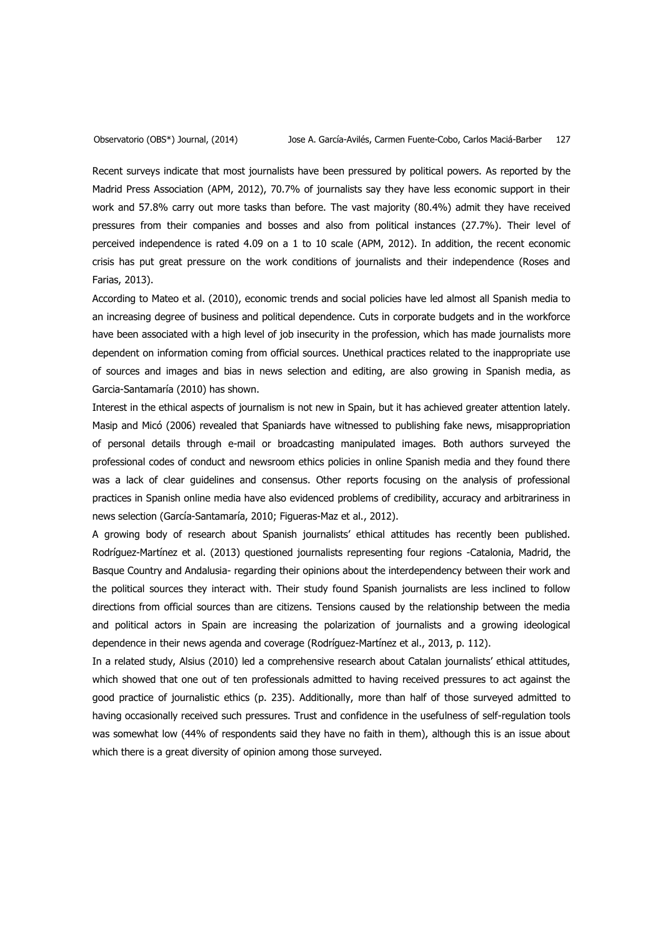Recent surveys indicate that most journalists have been pressured by political powers. As reported by the Madrid Press Association (APM, 2012), 70.7% of journalists say they have less economic support in their work and 57.8% carry out more tasks than before. The vast majority (80.4%) admit they have received pressures from their companies and bosses and also from political instances (27.7%). Their level of perceived independence is rated 4.09 on a 1 to 10 scale (APM, 2012). In addition, the recent economic crisis has put great pressure on the work conditions of journalists and their independence (Roses and Farias, 2013).

According to Mateo et al. (2010), economic trends and social policies have led almost all Spanish media to an increasing degree of business and political dependence. Cuts in corporate budgets and in the workforce have been associated with a high level of job insecurity in the profession, which has made journalists more dependent on information coming from official sources. Unethical practices related to the inappropriate use of sources and images and bias in news selection and editing, are also growing in Spanish media, as Garcia-Santamaría (2010) has shown.

Interest in the ethical aspects of journalism is not new in Spain, but it has achieved greater attention lately. Masip and Micó (2006) revealed that Spaniards have witnessed to publishing fake news, misappropriation of personal details through e-mail or broadcasting manipulated images. Both authors surveyed the professional codes of conduct and newsroom ethics policies in online Spanish media and they found there was a lack of clear guidelines and consensus. Other reports focusing on the analysis of professional practices in Spanish online media have also evidenced problems of credibility, accuracy and arbitrariness in news selection (García-Santamaría, 2010; Figueras-Maz et al., 2012).

A growing body of research about Spanish journalists' ethical attitudes has recently been published. Rodríguez-Martínez et al. (2013) questioned journalists representing four regions -Catalonia, Madrid, the Basque Country and Andalusia- regarding their opinions about the interdependency between their work and the political sources they interact with. Their study found Spanish journalists are less inclined to follow directions from official sources than are citizens. Tensions caused by the relationship between the media and political actors in Spain are increasing the polarization of journalists and a growing ideological dependence in their news agenda and coverage (Rodríguez-Martínez et al., 2013, p. 112).

In a related study, Alsius (2010) led a comprehensive research about Catalan journalists' ethical attitudes, which showed that one out of ten professionals admitted to having received pressures to act against the good practice of journalistic ethics (p. 235). Additionally, more than half of those surveyed admitted to having occasionally received such pressures. Trust and confidence in the usefulness of self-regulation tools was somewhat low (44% of respondents said they have no faith in them), although this is an issue about which there is a great diversity of opinion among those surveyed.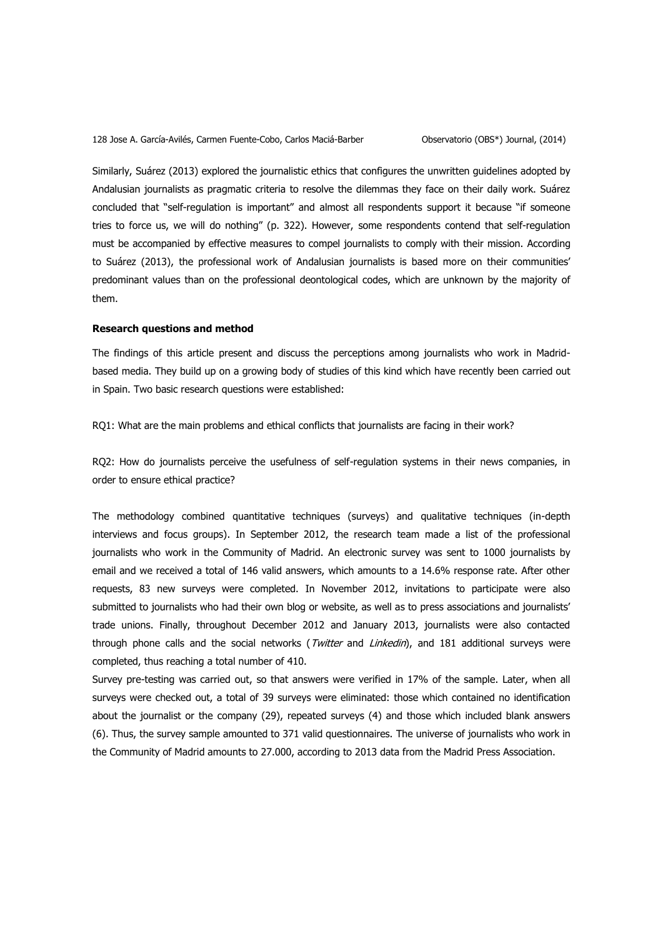Similarly, Suárez (2013) explored the journalistic ethics that configures the unwritten guidelines adopted by Andalusian journalists as pragmatic criteria to resolve the dilemmas they face on their daily work. Suárez concluded that "self-regulation is important" and almost all respondents support it because "if someone tries to force us, we will do nothing" (p. 322). However, some respondents contend that self-regulation must be accompanied by effective measures to compel journalists to comply with their mission. According to Suárez (2013), the professional work of Andalusian journalists is based more on their communities' predominant values than on the professional deontological codes, which are unknown by the majority of them.

## **Research questions and method**

The findings of this article present and discuss the perceptions among journalists who work in Madridbased media. They build up on a growing body of studies of this kind which have recently been carried out in Spain. Two basic research questions were established:

RQ1: What are the main problems and ethical conflicts that journalists are facing in their work?

RQ2: How do journalists perceive the usefulness of self-regulation systems in their news companies, in order to ensure ethical practice?

The methodology combined quantitative techniques (surveys) and qualitative techniques (in-depth interviews and focus groups). In September 2012, the research team made a list of the professional journalists who work in the Community of Madrid. An electronic survey was sent to 1000 journalists by email and we received a total of 146 valid answers, which amounts to a 14.6% response rate. After other requests, 83 new surveys were completed. In November 2012, invitations to participate were also submitted to journalists who had their own blog or website, as well as to press associations and journalists' trade unions. Finally, throughout December 2012 and January 2013, journalists were also contacted through phone calls and the social networks (Twitter and Linkedin), and 181 additional surveys were completed, thus reaching a total number of 410.

Survey pre-testing was carried out, so that answers were verified in 17% of the sample. Later, when all surveys were checked out, a total of 39 surveys were eliminated: those which contained no identification about the journalist or the company (29), repeated surveys (4) and those which included blank answers (6). Thus, the survey sample amounted to 371 valid questionnaires. The universe of journalists who work in the Community of Madrid amounts to 27.000, according to 2013 data from the Madrid Press Association.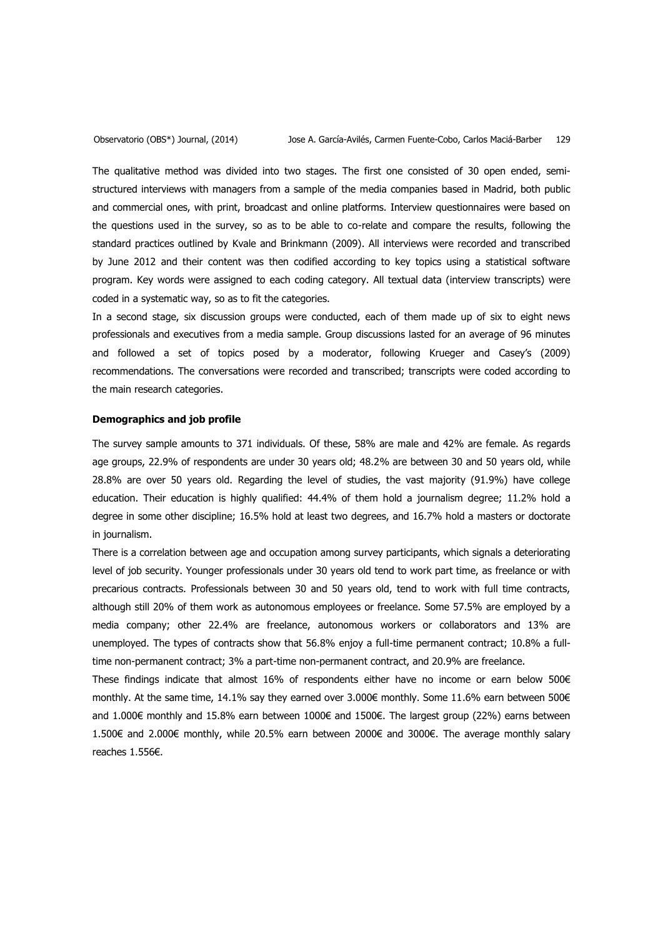The qualitative method was divided into two stages. The first one consisted of 30 open ended, semistructured interviews with managers from a sample of the media companies based in Madrid, both public and commercial ones, with print, broadcast and online platforms. Interview questionnaires were based on the questions used in the survey, so as to be able to co-relate and compare the results, following the standard practices outlined by Kvale and Brinkmann (2009). All interviews were recorded and transcribed by June 2012 and their content was then codified according to key topics using a statistical software program. Key words were assigned to each coding category. All textual data (interview transcripts) were coded in a systematic way, so as to fit the categories.

In a second stage, six discussion groups were conducted, each of them made up of six to eight news professionals and executives from a media sample. Group discussions lasted for an average of 96 minutes and followed a set of topics posed by a moderator, following Krueger and Casey's (2009) recommendations. The conversations were recorded and transcribed; transcripts were coded according to the main research categories.

# **Demographics and job profile**

The survey sample amounts to 371 individuals. Of these, 58% are male and 42% are female. As regards age groups, 22.9% of respondents are under 30 years old; 48.2% are between 30 and 50 years old, while 28.8% are over 50 years old. Regarding the level of studies, the vast majority (91.9%) have college education. Their education is highly qualified: 44.4% of them hold a journalism degree; 11.2% hold a degree in some other discipline; 16.5% hold at least two degrees, and 16.7% hold a masters or doctorate in journalism.

There is a correlation between age and occupation among survey participants, which signals a deteriorating level of job security. Younger professionals under 30 years old tend to work part time, as freelance or with precarious contracts. Professionals between 30 and 50 years old, tend to work with full time contracts, although still 20% of them work as autonomous employees or freelance. Some 57.5% are employed by a media company; other 22.4% are freelance, autonomous workers or collaborators and 13% are unemployed. The types of contracts show that 56.8% enjoy a full-time permanent contract; 10.8% a fulltime non-permanent contract; 3% a part-time non-permanent contract, and 20.9% are freelance.

These findings indicate that almost 16% of respondents either have no income or earn below 500 $\in$ monthly. At the same time, 14.1% say they earned over 3.000€ monthly. Some 11.6% earn between 500€ and 1.000€ monthly and 15.8% earn between 1000€ and 1500€. The largest group (22%) earns between 1.500€ and 2.000€ monthly, while 20.5% earn between 2000€ and 3000€. The average monthly salary reaches 1.556€.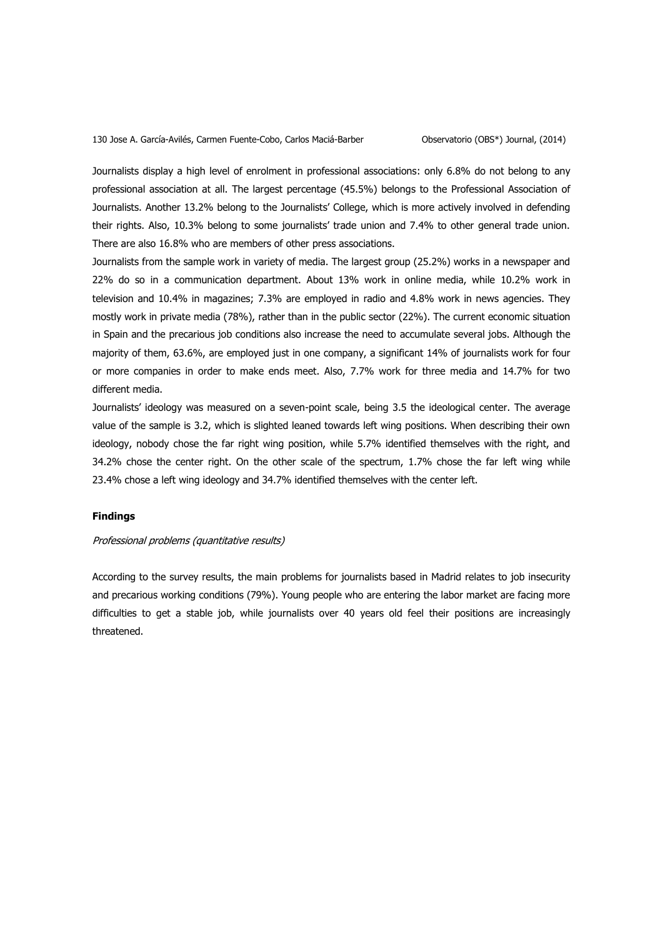Journalists display a high level of enrolment in professional associations: only 6.8% do not belong to any professional association at all. The largest percentage (45.5%) belongs to the Professional Association of Journalists. Another 13.2% belong to the Journalists' College, which is more actively involved in defending their rights. Also, 10.3% belong to some journalists' trade union and 7.4% to other general trade union. There are also 16.8% who are members of other press associations.

Journalists from the sample work in variety of media. The largest group (25.2%) works in a newspaper and 22% do so in a communication department. About 13% work in online media, while 10.2% work in television and 10.4% in magazines; 7.3% are employed in radio and 4.8% work in news agencies. They mostly work in private media (78%), rather than in the public sector (22%). The current economic situation in Spain and the precarious job conditions also increase the need to accumulate several jobs. Although the majority of them, 63.6%, are employed just in one company, a significant 14% of journalists work for four or more companies in order to make ends meet. Also, 7.7% work for three media and 14.7% for two different media.

Journalists' ideology was measured on a seven-point scale, being 3.5 the ideological center. The average value of the sample is 3.2, which is slighted leaned towards left wing positions. When describing their own ideology, nobody chose the far right wing position, while 5.7% identified themselves with the right, and 34.2% chose the center right. On the other scale of the spectrum, 1.7% chose the far left wing while 23.4% chose a left wing ideology and 34.7% identified themselves with the center left.

## **Findings**

#### Professional problems (quantitative results)

According to the survey results, the main problems for journalists based in Madrid relates to job insecurity and precarious working conditions (79%). Young people who are entering the labor market are facing more difficulties to get a stable job, while journalists over 40 years old feel their positions are increasingly threatened.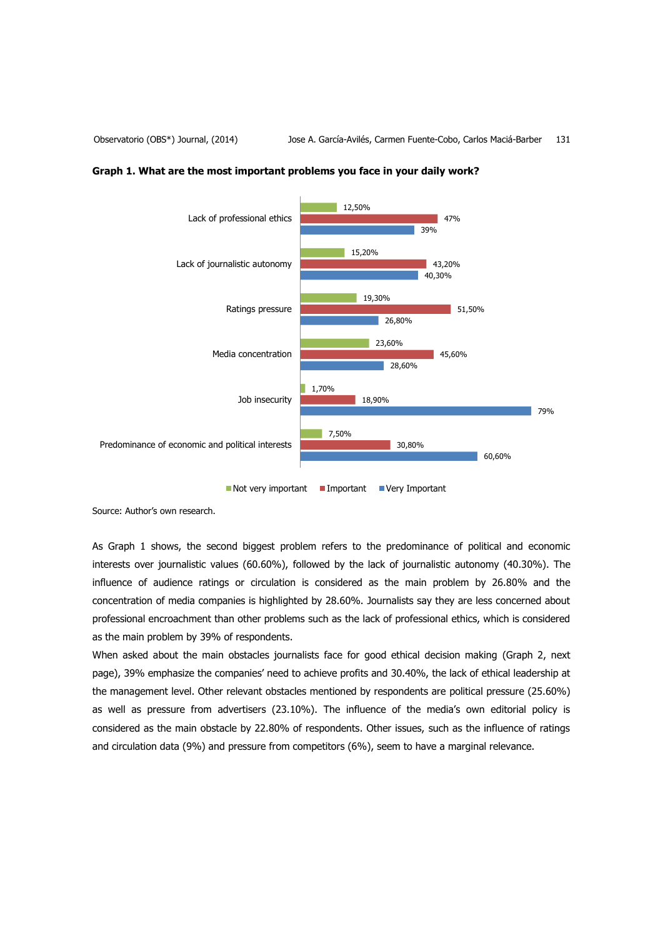

## **Graph 1. What are the most important problems you face in your daily work?**

 $\blacksquare$  Not very important  $\blacksquare$  Important  $\blacksquare$  Very Important

Source: Author's own research.

As Graph 1 shows, the second biggest problem refers to the predominance of political and economic interests over journalistic values (60.60%), followed by the lack of journalistic autonomy (40.30%). The influence of audience ratings or circulation is considered as the main problem by 26.80% and the concentration of media companies is highlighted by 28.60%. Journalists say they are less concerned about professional encroachment than other problems such as the lack of professional ethics, which is considered as the main problem by 39% of respondents.

When asked about the main obstacles journalists face for good ethical decision making (Graph 2, next page), 39% emphasize the companies' need to achieve profits and 30.40%, the lack of ethical leadership at the management level. Other relevant obstacles mentioned by respondents are political pressure (25.60%) as well as pressure from advertisers (23.10%). The influence of the media's own editorial policy is considered as the main obstacle by 22.80% of respondents. Other issues, such as the influence of ratings and circulation data (9%) and pressure from competitors (6%), seem to have a marginal relevance.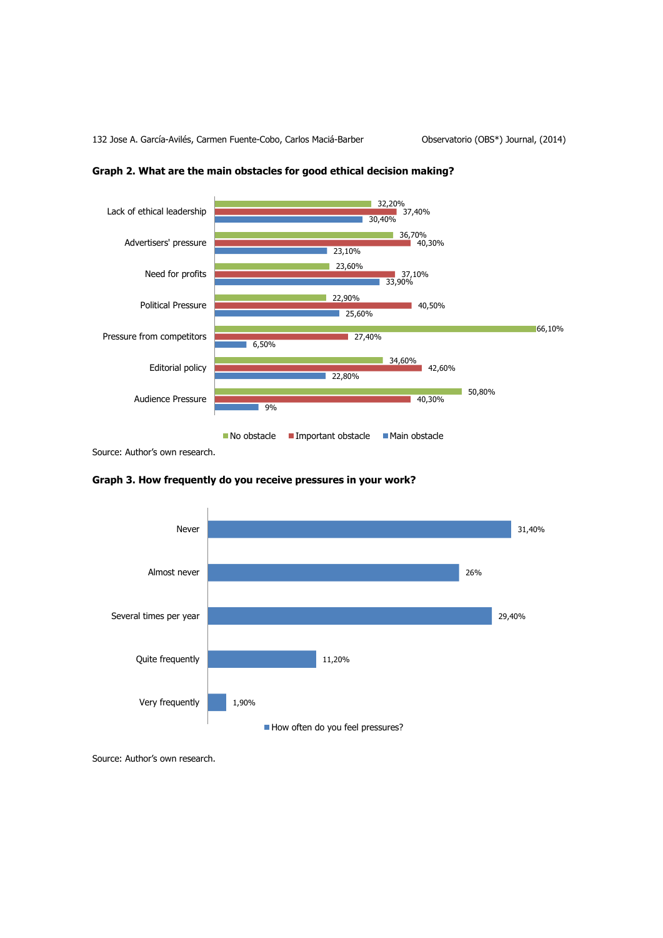

# **Graph 2. What are the main obstacles for good ethical decision making?**

Source: Author's own research.





Source: Author's own research.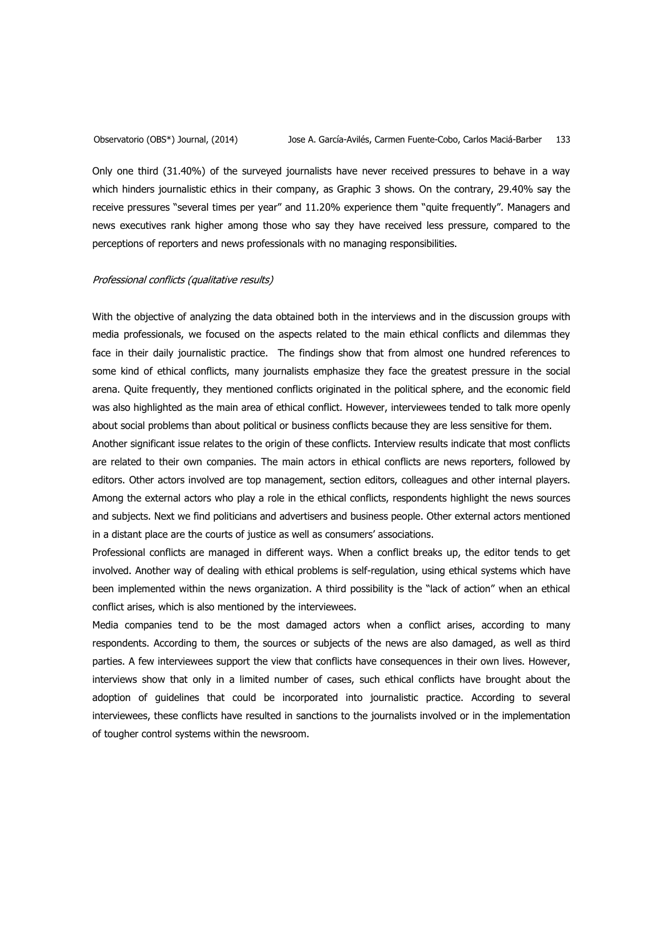Only one third (31.40%) of the surveyed journalists have never received pressures to behave in a way which hinders journalistic ethics in their company, as Graphic 3 shows. On the contrary, 29.40% say the receive pressures "several times per year" and 11.20% experience them "quite frequently". Managers and news executives rank higher among those who say they have received less pressure, compared to the perceptions of reporters and news professionals with no managing responsibilities.

## Professional conflicts (qualitative results)

With the objective of analyzing the data obtained both in the interviews and in the discussion groups with media professionals, we focused on the aspects related to the main ethical conflicts and dilemmas they face in their daily journalistic practice. The findings show that from almost one hundred references to some kind of ethical conflicts, many journalists emphasize they face the greatest pressure in the social arena. Quite frequently, they mentioned conflicts originated in the political sphere, and the economic field was also highlighted as the main area of ethical conflict. However, interviewees tended to talk more openly about social problems than about political or business conflicts because they are less sensitive for them.

Another significant issue relates to the origin of these conflicts. Interview results indicate that most conflicts are related to their own companies. The main actors in ethical conflicts are news reporters, followed by editors. Other actors involved are top management, section editors, colleagues and other internal players. Among the external actors who play a role in the ethical conflicts, respondents highlight the news sources and subjects. Next we find politicians and advertisers and business people. Other external actors mentioned in a distant place are the courts of justice as well as consumers' associations.

Professional conflicts are managed in different ways. When a conflict breaks up, the editor tends to get involved. Another way of dealing with ethical problems is self-regulation, using ethical systems which have been implemented within the news organization. A third possibility is the "lack of action" when an ethical conflict arises, which is also mentioned by the interviewees.

Media companies tend to be the most damaged actors when a conflict arises, according to many respondents. According to them, the sources or subjects of the news are also damaged, as well as third parties. A few interviewees support the view that conflicts have consequences in their own lives. However, interviews show that only in a limited number of cases, such ethical conflicts have brought about the adoption of guidelines that could be incorporated into journalistic practice. According to several interviewees, these conflicts have resulted in sanctions to the journalists involved or in the implementation of tougher control systems within the newsroom.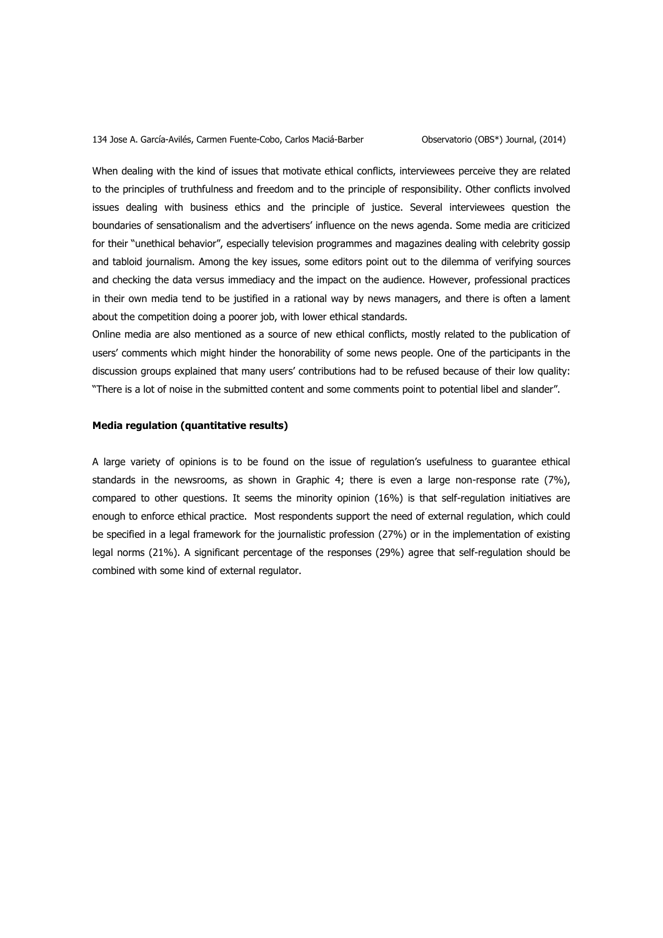When dealing with the kind of issues that motivate ethical conflicts, interviewees perceive they are related to the principles of truthfulness and freedom and to the principle of responsibility. Other conflicts involved issues dealing with business ethics and the principle of justice. Several interviewees question the boundaries of sensationalism and the advertisers' influence on the news agenda. Some media are criticized for their "unethical behavior", especially television programmes and magazines dealing with celebrity gossip and tabloid journalism. Among the key issues, some editors point out to the dilemma of verifying sources and checking the data versus immediacy and the impact on the audience. However, professional practices in their own media tend to be justified in a rational way by news managers, and there is often a lament about the competition doing a poorer job, with lower ethical standards.

Online media are also mentioned as a source of new ethical conflicts, mostly related to the publication of users' comments which might hinder the honorability of some news people. One of the participants in the discussion groups explained that many users' contributions had to be refused because of their low quality: "There is a lot of noise in the submitted content and some comments point to potential libel and slander".

# **Media regulation (quantitative results)**

A large variety of opinions is to be found on the issue of regulation's usefulness to guarantee ethical standards in the newsrooms, as shown in Graphic 4; there is even a large non-response rate (7%), compared to other questions. It seems the minority opinion (16%) is that self-regulation initiatives are enough to enforce ethical practice. Most respondents support the need of external regulation, which could be specified in a legal framework for the journalistic profession (27%) or in the implementation of existing legal norms (21%). A significant percentage of the responses (29%) agree that self-regulation should be combined with some kind of external regulator.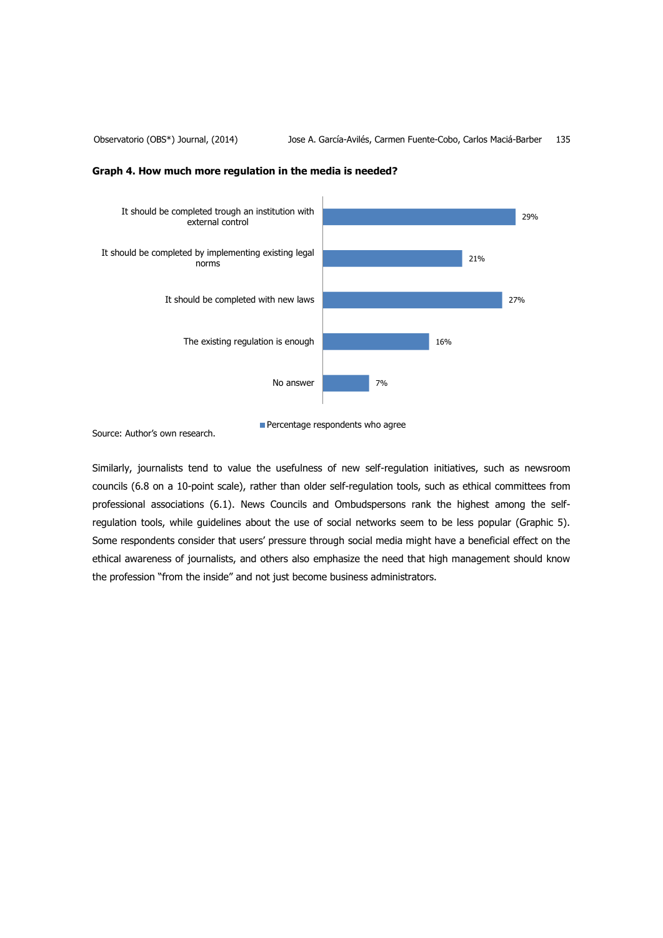



Percentage respondents who agree

Source: Author's own research.

Similarly, journalists tend to value the usefulness of new self-regulation initiatives, such as newsroom councils (6.8 on a 10-point scale), rather than older self-regulation tools, such as ethical committees from professional associations (6.1). News Councils and Ombudspersons rank the highest among the selfregulation tools, while guidelines about the use of social networks seem to be less popular (Graphic 5). Some respondents consider that users' pressure through social media might have a beneficial effect on the ethical awareness of journalists, and others also emphasize the need that high management should know the profession "from the inside" and not just become business administrators.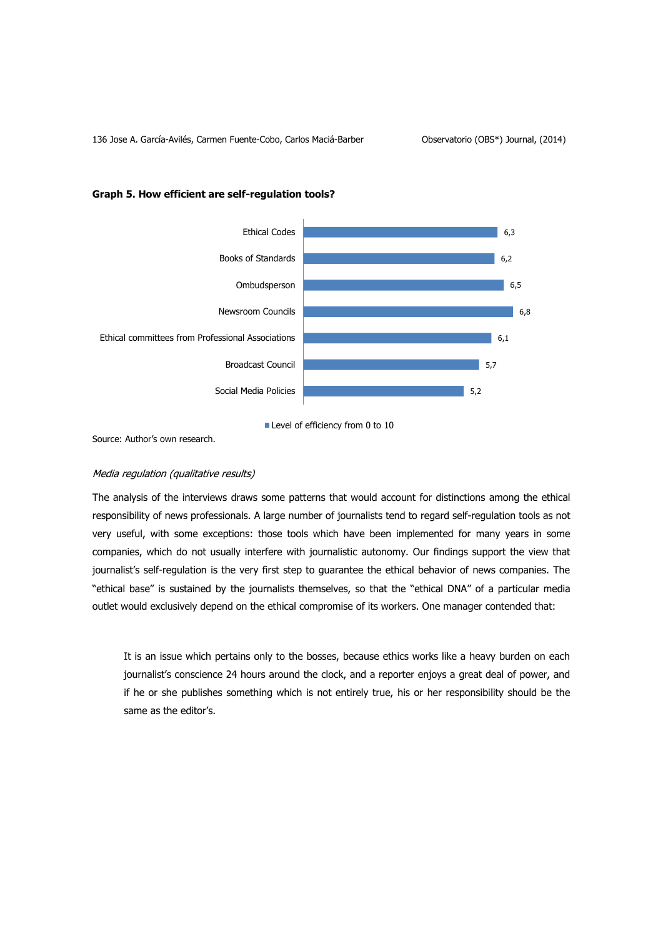

## **Graph 5. How efficient are self-regulation tools?**

Level of efficiency from 0 to 10

Source: Author's own research.

# Media regulation (qualitative results)

The analysis of the interviews draws some patterns that would account for distinctions among the ethical responsibility of news professionals. A large number of journalists tend to regard self-regulation tools as not very useful, with some exceptions: those tools which have been implemented for many years in some companies, which do not usually interfere with journalistic autonomy. Our findings support the view that journalist's self-regulation is the very first step to guarantee the ethical behavior of news companies. The "ethical base" is sustained by the journalists themselves, so that the "ethical DNA" of a particular media outlet would exclusively depend on the ethical compromise of its workers. One manager contended that:

It is an issue which pertains only to the bosses, because ethics works like a heavy burden on each journalist's conscience 24 hours around the clock, and a reporter enjoys a great deal of power, and if he or she publishes something which is not entirely true, his or her responsibility should be the same as the editor's.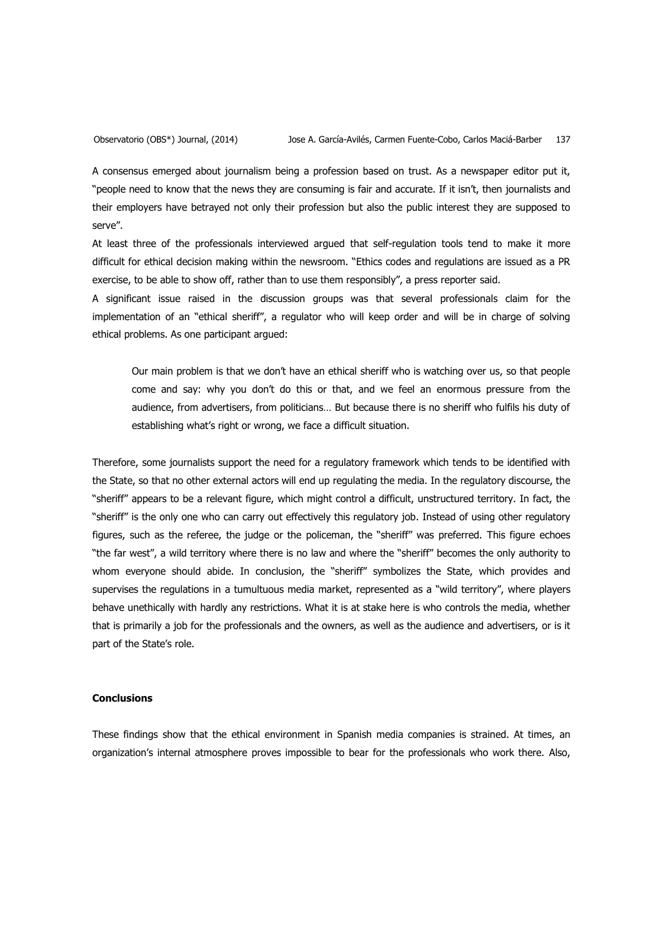A consensus emerged about journalism being a profession based on trust. As a newspaper editor put it, "people need to know that the news they are consuming is fair and accurate. If it isn't, then journalists and their employers have betrayed not only their profession but also the public interest they are supposed to serve".

At least three of the professionals interviewed argued that self-regulation tools tend to make it more difficult for ethical decision making within the newsroom. "Ethics codes and regulations are issued as a PR exercise, to be able to show off, rather than to use them responsibly", a press reporter said.

A significant issue raised in the discussion groups was that several professionals claim for the implementation of an "ethical sheriff", a regulator who will keep order and will be in charge of solving ethical problems. As one participant argued:

Our main problem is that we don't have an ethical sheriff who is watching over us, so that people come and say: why you don't do this or that, and we feel an enormous pressure from the audience, from advertisers, from politicians… But because there is no sheriff who fulfils his duty of establishing what's right or wrong, we face a difficult situation.

Therefore, some journalists support the need for a regulatory framework which tends to be identified with the State, so that no other external actors will end up regulating the media. In the regulatory discourse, the "sheriff" appears to be a relevant figure, which might control a difficult, unstructured territory. In fact, the "sheriff" is the only one who can carry out effectively this regulatory job. Instead of using other regulatory figures, such as the referee, the judge or the policeman, the "sheriff" was preferred. This figure echoes "the far west", a wild territory where there is no law and where the "sheriff" becomes the only authority to whom everyone should abide. In conclusion, the "sheriff" symbolizes the State, which provides and supervises the regulations in a tumultuous media market, represented as a "wild territory", where players behave unethically with hardly any restrictions. What it is at stake here is who controls the media, whether that is primarily a job for the professionals and the owners, as well as the audience and advertisers, or is it part of the State's role.

# **Conclusions**

These findings show that the ethical environment in Spanish media companies is strained. At times, an organization's internal atmosphere proves impossible to bear for the professionals who work there. Also,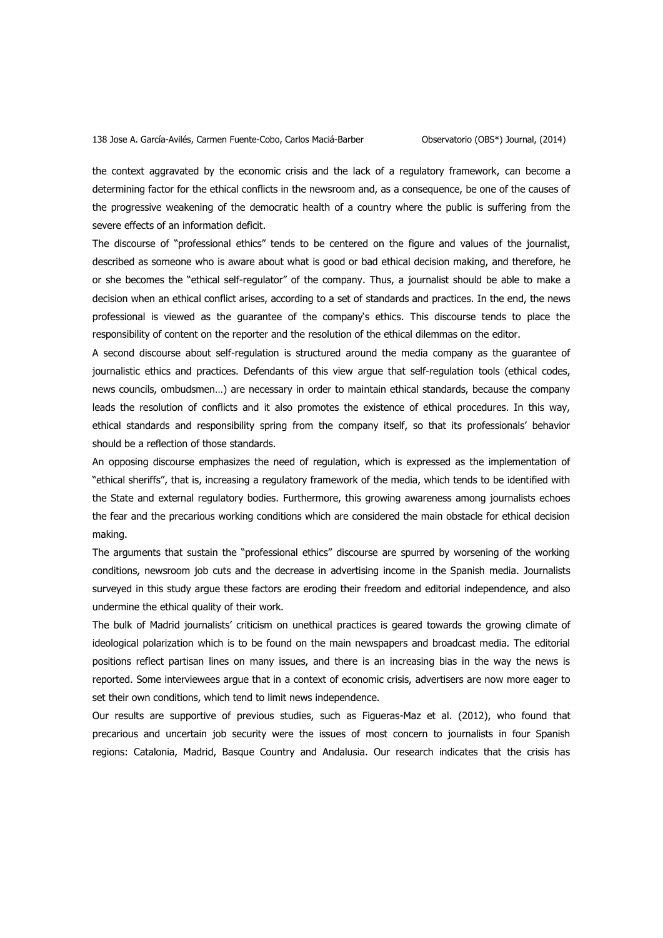the context aggravated by the economic crisis and the lack of a regulatory framework, can become a determining factor for the ethical conflicts in the newsroom and, as a consequence, be one of the causes of the progressive weakening of the democratic health of a country where the public is suffering from the severe effects of an information deficit.

The discourse of "professional ethics" tends to be centered on the figure and values of the journalist, described as someone who is aware about what is good or bad ethical decision making, and therefore, he or she becomes the "ethical self-regulator" of the company. Thus, a journalist should be able to make a decision when an ethical conflict arises, according to a set of standards and practices. In the end, the news professional is viewed as the guarantee of the company's ethics. This discourse tends to place the responsibility of content on the reporter and the resolution of the ethical dilemmas on the editor.

A second discourse about self-regulation is structured around the media company as the guarantee of journalistic ethics and practices. Defendants of this view argue that self-regulation tools (ethical codes, news councils, ombudsmen…) are necessary in order to maintain ethical standards, because the company leads the resolution of conflicts and it also promotes the existence of ethical procedures. In this way, ethical standards and responsibility spring from the company itself, so that its professionals' behavior should be a reflection of those standards.

An opposing discourse emphasizes the need of regulation, which is expressed as the implementation of "ethical sheriffs", that is, increasing a regulatory framework of the media, which tends to be identified with the State and external regulatory bodies. Furthermore, this growing awareness among journalists echoes the fear and the precarious working conditions which are considered the main obstacle for ethical decision making.

The arguments that sustain the "professional ethics" discourse are spurred by worsening of the working conditions, newsroom job cuts and the decrease in advertising income in the Spanish media. Journalists surveyed in this study argue these factors are eroding their freedom and editorial independence, and also undermine the ethical quality of their work.

The bulk of Madrid journalists' criticism on unethical practices is geared towards the growing climate of ideological polarization which is to be found on the main newspapers and broadcast media. The editorial positions reflect partisan lines on many issues, and there is an increasing bias in the way the news is reported. Some interviewees argue that in a context of economic crisis, advertisers are now more eager to set their own conditions, which tend to limit news independence.

Our results are supportive of previous studies, such as Figueras-Maz et al. (2012), who found that precarious and uncertain job security were the issues of most concern to journalists in four Spanish regions: Catalonia, Madrid, Basque Country and Andalusia. Our research indicates that the crisis has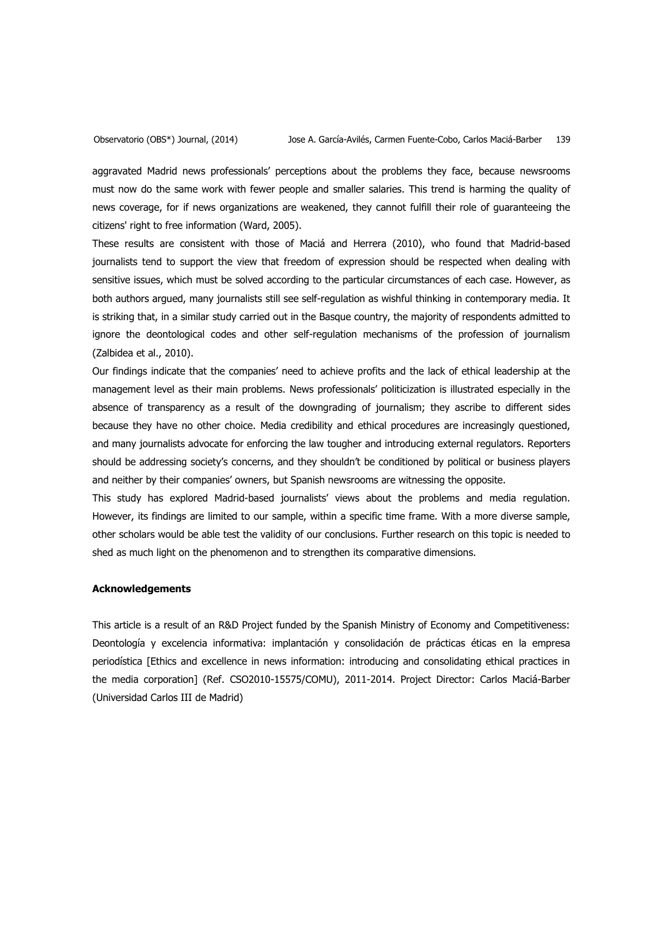aggravated Madrid news professionals' perceptions about the problems they face, because newsrooms must now do the same work with fewer people and smaller salaries. This trend is harming the quality of news coverage, for if news organizations are weakened, they cannot fulfill their role of guaranteeing the citizens' right to free information (Ward, 2005).

These results are consistent with those of Maciá and Herrera (2010), who found that Madrid-based journalists tend to support the view that freedom of expression should be respected when dealing with sensitive issues, which must be solved according to the particular circumstances of each case. However, as both authors argued, many journalists still see self-regulation as wishful thinking in contemporary media. It is striking that, in a similar study carried out in the Basque country, the majority of respondents admitted to ignore the deontological codes and other self-regulation mechanisms of the profession of journalism (Zalbidea et al., 2010).

Our findings indicate that the companies' need to achieve profits and the lack of ethical leadership at the management level as their main problems. News professionals' politicization is illustrated especially in the absence of transparency as a result of the downgrading of journalism; they ascribe to different sides because they have no other choice. Media credibility and ethical procedures are increasingly questioned, and many journalists advocate for enforcing the law tougher and introducing external regulators. Reporters should be addressing society's concerns, and they shouldn't be conditioned by political or business players and neither by their companies' owners, but Spanish newsrooms are witnessing the opposite.

This study has explored Madrid-based journalists' views about the problems and media regulation. However, its findings are limited to our sample, within a specific time frame. With a more diverse sample, other scholars would be able test the validity of our conclusions. Further research on this topic is needed to shed as much light on the phenomenon and to strengthen its comparative dimensions.

## **Acknowledgements**

This article is a result of an R&D Project funded by the Spanish Ministry of Economy and Competitiveness: Deontología y excelencia informativa: implantación y consolidación de prácticas éticas en la empresa periodística [Ethics and excellence in news information: introducing and consolidating ethical practices in the media corporation] (Ref. CSO2010-15575/COMU), 2011-2014. Project Director: Carlos Maciá-Barber (Universidad Carlos III de Madrid)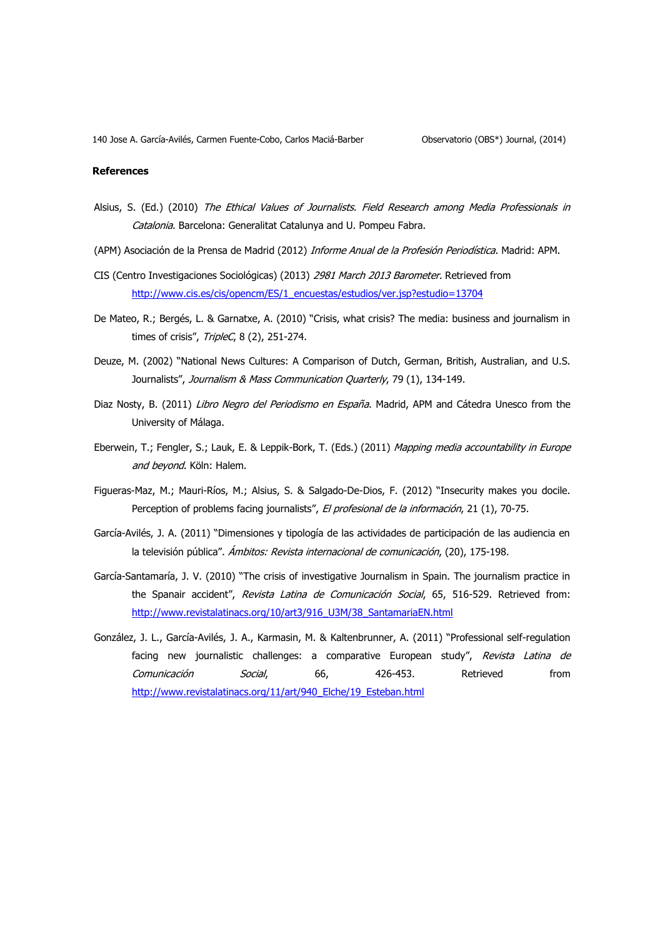### **References**

- Alsius, S. (Ed.) (2010) The Ethical Values of Journalists. Field Research among Media Professionals in Catalonia. Barcelona: Generalitat Catalunya and U. Pompeu Fabra.
- (APM) Asociación de la Prensa de Madrid (2012) Informe Anual de la Profesión Periodística. Madrid: APM.
- CIS (Centro Investigaciones Sociológicas) (2013) 2981 March 2013 Barometer. Retrieved from [http://www.cis.es/cis/opencm/ES/1\\_encuestas/estudios/ver.jsp?estudio=13704](http://www.cis.es/cis/opencm/ES/1_encuestas/estudios/ver.jsp?estudio=13704)
- De Mateo, R.; Bergés, L. & Garnatxe, A. (2010) "Crisis, what crisis? The media: business and journalism in times of crisis", TripleC, 8 (2), 251-274.
- Deuze, M. (2002) "National News Cultures: A Comparison of Dutch, German, British, Australian, and U.S. Journalists", Journalism & Mass Communication Quarterly, 79 (1), 134-149.
- Diaz Nosty, B. (2011) Libro Negro del Periodismo en España. Madrid, APM and Cátedra Unesco from the University of Málaga.
- Eberwein, T.; Fengler, S.; Lauk, E. & Leppik-Bork, T. (Eds.) (2011) Mapping media accountability in Europe and beyond. Köln: Halem.
- Figueras-Maz, M.; Mauri-Ríos, M.; Alsius, S. & Salgado-De-Dios, F. (2012) "Insecurity makes you docile. Perception of problems facing journalists", El profesional de la información, 21 (1), 70-75.
- García-Avilés, J. A. (2011) "Dimensiones y tipología de las actividades de participación de las audiencia en la televisión pública". Ámbitos: Revista internacional de comunicación, (20), 175-198.
- García-Santamaría, J. V. (2010) "The crisis of investigative Journalism in Spain. The journalism practice in the Spanair accident", Revista Latina de Comunicación Social, 65, 516-529. Retrieved from: [http://www.revistalatinacs.org/10/art3/916\\_U3M/38\\_SantamariaEN.html](http://www.revistalatinacs.org/10/art3/916_U3M/38_SantamariaEN.html)
- González, J. L., García-Avilés, J. A., Karmasin, M. & Kaltenbrunner, A. (2011) "Professional self-regulation facing new journalistic challenges: a comparative European study", Revista Latina de Comunicación Social, 66, 426-453. Retrieved from [http://www.revistalatinacs.org/11/art/940\\_Elche/19\\_Esteban.html](http://www.revistalatinacs.org/11/art/940_Elche/19_Esteban.html)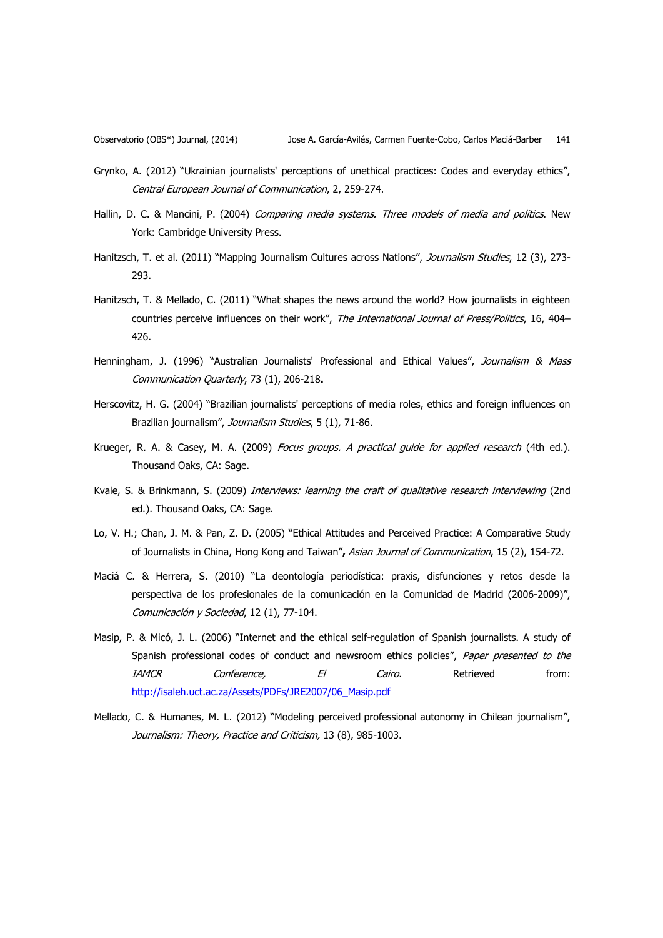- Grynko, A. (2012) "Ukrainian journalists' perceptions of unethical practices: Codes and everyday ethics", Central European Journal of Communication, 2, 259-274.
- Hallin, D. C. & Mancini, P. (2004) Comparing media systems. Three models of media and politics. New York: Cambridge University Press.
- Hanitzsch, T. et al. (2011) "Mapping Journalism Cultures across Nations", Journalism Studies, 12 (3), 273-293.
- Hanitzsch, T. & Mellado, C. (2011) "What shapes the news around the world? How journalists in eighteen countries perceive influences on their work", The International Journal of Press/Politics, 16, 404-426.
- Henningham, J. (1996) "Australian Journalists' Professional and Ethical Values", Journalism & Mass Communication Quarterly, 73 (1), 206-218**.**
- Herscovitz, H. G. (2004) "Brazilian journalists' perceptions of media roles, ethics and foreign influences on Brazilian journalism", Journalism Studies, 5 (1), 71-86.
- Krueger, R. A. & Casey, M. A. (2009) *Focus groups. A practical quide for applied research* (4th ed.). Thousand Oaks, CA: Sage.
- Kvale, S. & Brinkmann, S. (2009) Interviews: learning the craft of qualitative research interviewing (2nd ed.). Thousand Oaks, CA: Sage.
- Lo, V. H.; Chan, J. M. & Pan, Z. D. (2005) "Ethical Attitudes and Perceived Practice: A Comparative Study of Journalists in China, Hong Kong and Taiwan"**,** Asian Journal of Communication, 15 (2), 154-72.
- Maciá C. & Herrera, S. (2010) "La deontología periodística: praxis, disfunciones y retos desde la perspectiva de los profesionales de la comunicación en la Comunidad de Madrid (2006-2009)", Comunicación y Sociedad, 12 (1), 77-104.
- Masip, P. & Micó, J. L. (2006) "Internet and the ethical self-regulation of Spanish journalists. A study of Spanish professional codes of conduct and newsroom ethics policies", Paper presented to the IAMCR Conference, El Cairo. Retrieved from: [http://isaleh.uct.ac.za/Assets/PDFs/JRE2007/06\\_Masip.pdf](http://isaleh.uct.ac.za/Assets/PDFs/JRE2007/06_Masip.pdf)
- Mellado, C. & Humanes, M. L. (2012) "Modeling perceived professional autonomy in Chilean journalism", Journalism: Theory, Practice and Criticism, 13 (8), 985-1003.